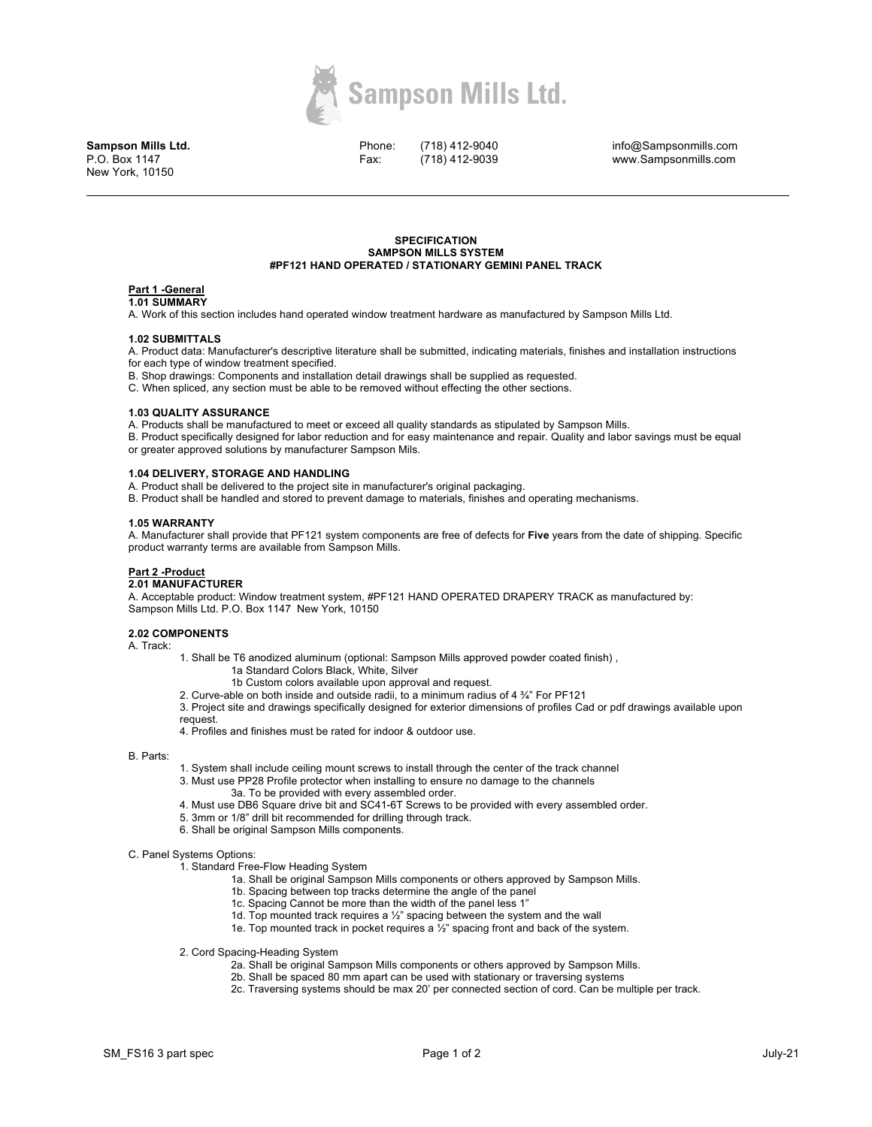

**Sampson Mills Ltd.** P.O. Box 1147 New York, 10150

Phone: Fax:

(718) 412-9040 (718) 412-9039

info@Sampsonmills.com www.Sampsonmills.com

### **SPECIFICATION SAMPSON MILLS SYSTEM #PF121 HAND OPERATED / STATIONARY GEMINI PANEL TRACK**

#### **Part 1 -General 1.01 SUMMARY**

A. Work of this section includes hand operated window treatment hardware as manufactured by Sampson Mills Ltd.

## **1.02 SUBMITTALS**

A. Product data: Manufacturer's descriptive literature shall be submitted, indicating materials, finishes and installation instructions for each type of window treatment specified.

B. Shop drawings: Components and installation detail drawings shall be supplied as requested.

C. When spliced, any section must be able to be removed without effecting the other sections.

### **1.03 QUALITY ASSURANCE**

A. Products shall be manufactured to meet or exceed all quality standards as stipulated by Sampson Mills.

B. Product specifically designed for labor reduction and for easy maintenance and repair. Quality and labor savings must be equal or greater approved solutions by manufacturer Sampson Mils.

# **1.04 DELIVERY, STORAGE AND HANDLING**

A. Product shall be delivered to the project site in manufacturer's original packaging.

B. Product shall be handled and stored to prevent damage to materials, finishes and operating mechanisms.

## **1.05 WARRANTY**

A. Manufacturer shall provide that PF121 system components are free of defects for **Five** years from the date of shipping. Specific product warranty terms are available from Sampson Mills.

# **Part 2 -Product**

# **2.01 MANUFACTURER**

A. Acceptable product: Window treatment system, #PF121 HAND OPERATED DRAPERY TRACK as manufactured by: Sampson Mills Ltd. P.O. Box 1147 New York, 10150

### **2.02 COMPONENTS**

A. Track:

1. Shall be T6 anodized aluminum (optional: Sampson Mills approved powder coated finish) ,

- 1a Standard Colors Black, White, Silver
- 1b Custom colors available upon approval and request.

2. Curve-able on both inside and outside radii, to a minimum radius of 4 ¾" For PF121

3. Project site and drawings specifically designed for exterior dimensions of profiles Cad or pdf drawings available upon request.

4. Profiles and finishes must be rated for indoor & outdoor use.

### B. Parts:

- 1. System shall include ceiling mount screws to install through the center of the track channel
- 3. Must use PP28 Profile protector when installing to ensure no damage to the channels
	- 3a. To be provided with every assembled order.
- 4. Must use DB6 Square drive bit and SC41-6T Screws to be provided with every assembled order.
- 5. 3mm or 1/8" drill bit recommended for drilling through track.
- 6. Shall be original Sampson Mills components.

C. Panel Systems Options:

- 1. Standard Free-Flow Heading System
	- 1a. Shall be original Sampson Mills components or others approved by Sampson Mills.
	- 1b. Spacing between top tracks determine the angle of the panel
	- 1c. Spacing Cannot be more than the width of the panel less 1"
	- 1d. Top mounted track requires a ½" spacing between the system and the wall
	- 1e. Top mounted track in pocket requires a ½" spacing front and back of the system.
- 2. Cord Spacing-Heading System
	- 2a. Shall be original Sampson Mills components or others approved by Sampson Mills.
	- 2b. Shall be spaced 80 mm apart can be used with stationary or traversing systems
	- 2c. Traversing systems should be max 20' per connected section of cord. Can be multiple per track.